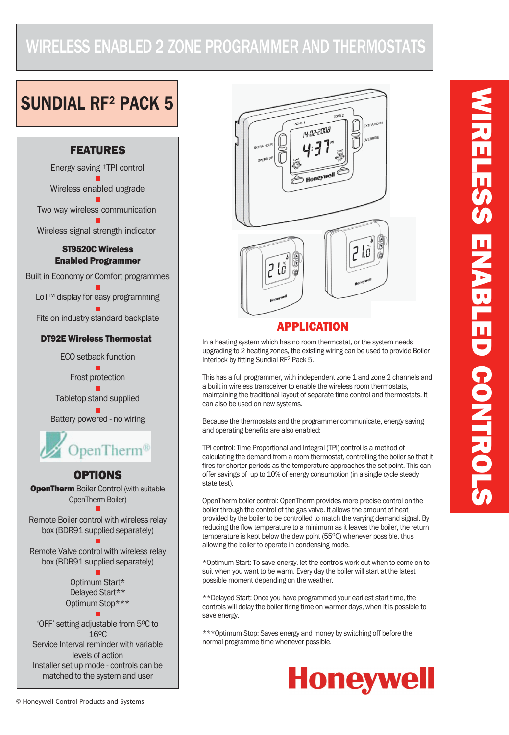## WIRELESS ENABLED 2 ZONE PROGRAMMER AND THERMOSTATS

# SUNDIAL RF2 PACK 5





### **APPLICATION**

In a heating system which has no room thermostat, or the system needs upgrading to 2 heating zones, the existing wiring can be used to provide Boiler Interlock by fitting Sundial RF2 Pack 5.

This has a full programmer, with independent zone 1 and zone 2 channels and a built in wireless transceiver to enable the wireless room thermostats, maintaining the traditional layout of separate time control and thermostats. It can also be used on new systems.

Because the thermostats and the programmer communicate, energy saving and operating benefits are also enabled:

TPI control: Time Proportional and Integral (TPI) control is a method of calculating the demand from a room thermostat, controlling the boiler so that it fires for shorter periods as the temperature approaches the set point. This can offer savings of up to 10% of energy consumption (in a single cycle steady state test).

OpenTherm boiler control: OpenTherm provides more precise control on the boiler through the control of the gas valve. It allows the amount of heat provided by the boiler to be controlled to match the varying demand signal. By reducing the flow temperature to a minimum as it leaves the boiler, the return temperature is kept below the dew point  $(55^{\circ}C)$  whenever possible, thus allowing the boiler to operate in condensing mode.

\*Optimum Start: To save energy, let the controls work out when to come on to suit when you want to be warm. Every day the boiler will start at the latest possible moment depending on the weather.

\*\*Delayed Start: Once you have programmed your earliest start time, the controls will delay the boiler firing time on warmer days, when it is possible to save energy.

\*\*\*Optimum Stop: Saves energy and money by switching off before the normal programme time whenever possible.